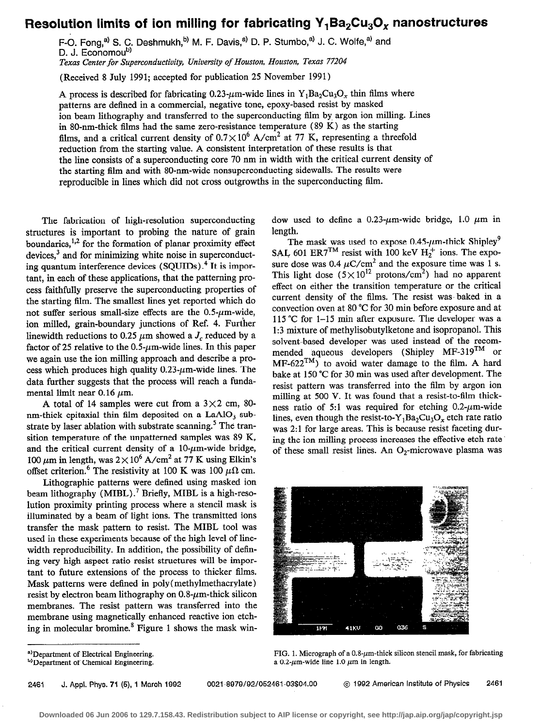## Resolution limits of ion milling for fabricating  $Y_1Ba_2Cu_3O_x$  nanostructures

F-O. Fong,<sup>a)</sup> S. C. Deshmukh,<sup>b)</sup> M. F. Davis,<sup>a)</sup> D. P. Stumbo,<sup>a)</sup> J. C. Wolfe,<sup>a)</sup> and D. J. Economoub)

Texas Center for Superconductivity, University of Houston, Houston, Texas 77204

(Received 8 July 1991; accepted for publication 25 November 1991)

A process is described for fabricating 0.23- $\mu$ m-wide lines in Y<sub>1</sub>Ba<sub>2</sub>Cu<sub>3</sub>O<sub>x</sub> thin films where patterns are defined in a commercial, negative tone, epoxy-based resist by masked ion beam lithography and transferred to the superconducting film by argon ion milling. Lines in SO-nm-thick films had the same zero-resistance temperature (89 K) as the starting films, and a critical current density of  $0.7 \times 10^6$  A/cm<sup>2</sup> at 77 K, representing a threefold reduction from the starting value. A consistent interpretation of these results is that the line consists of a superconducting core 70 nm in width with the critical current density of the starting film and with SO-nm-wide nonsuperconducting sidewalls. The results were reproducible in lines which did not cross outgrowths in the superconducting film.

The fabrication of high-resolution superconducting structures is important to probing the nature of grain boundaries,  $^{1,2}$  for the formation of planar proximity effect devices,<sup>3</sup> and for minimizing white noise in superconducting quantum interference devices (SQUIDS) .4 It is important, in each of these applications, that the patterning process faithfully preserve the superconducting properties of the starting film. The smallest lines yet reported which do not suffer serious small-size effects are the  $0.5$ - $\mu$ m-wide, ion milled, grain-boundary junctions of Ref. 4. Furiher linewidth reductions to 0.25  $\mu$ m showed a  $J_c$  reduced by a factor of 25 relative to the  $0.5$ - $\mu$ m-wide lines. In this paper we again use the ion milling approach and describe a process which produces high quality  $0.23$ - $\mu$ m-wide lines. The data further suggests that the process will reach a fundamental limit near  $0.16 \mu$ m.

A total of 14 samples were cut from a  $3 \times 2$  cm, 80nm-thick epitaxial thin film deposited on a  $LaAlO<sub>3</sub>$  substrate by laser ablation with substrate scanning.<sup>5</sup> The transition temperature of the unpatterned samples was 89 K, and the critical current density of a  $10$ - $\mu$ m-wide bridge, 100  $\mu$ m in length, was  $2 \times 10^6$  A/cm<sup>2</sup> at 77 K using Elkin's offset criterion.<sup>6</sup> The resistivity at 100 K was 100  $\mu\Omega$  cm.

Lithographic patterns were defined using masked ion beam lithography (MIBL).<sup>7</sup> Briefly, MIBL is a high-resolution proximity printing process where a stencil mask is illuminated by a beam of light ions. The transmitted ions transfer the mask pattern to resist. The MIBL tool was used in these experiments because of the high level of linewidth reproducibility. In addition, the possibility of defining very high aspect ratio resist structures will be important to future extensions of the process to thicker films. Mask patterns were defined in poly (methylmethacrylate) resist by electron beam lithography on  $0.8~\mu$ m-thick silicon membranes. The resist pattern was transferred into the membrane using magnetically enhanced reactive ion etching in molecular bromine. $<sup>8</sup>$  Figure 1 shows the mask win-</sup>

dow used to define a 0.23- $\mu$ m-wide bridge, 1.0  $\mu$ m in length.

The mask was used to expose  $0.45$ - $\mu$ m-thick Shipley<sup>9</sup> SAL, 601 ER7<sup>TM</sup> resist with 100 keV  $H_2^+$  ions. The exposure dose was 0.4  $\mu$ C/cm<sup>2</sup> and the exposure time was 1 s. This light dose  $(5 \times 10^{12} \text{ protons/cm}^2)$  had no apparent effect on either the transition temperature or the critical current density of the films. The resist was. baked in a convection oven at 80 "C for 30 min before exposure and at 115 "C for 1-15 min after exposure. The developer was a 1:3 mixture of methylisobutylketone and isopropanol. This solvent-based developer was used instead of the recommended aqueous developers (Shipley MF-319<sup>TM</sup> or  $MF-622^{TM}$  to avoid water damage to the film. A hard bake at 150 "C for 30 min was used after development. The resist pattern was transferred into the film by argon ion milling at 500 V. It was found that a resist-to-film thickness ratio of 5:1 was required for etching  $0.2$ - $\mu$ m-wide lines, even though the resist-to-Y<sub>1</sub>Ba<sub>2</sub>Cu<sub>3</sub>O<sub>x</sub> etch rate ratio was 2:l for large areas. This is because resist faceting during the ion milling process increases the effective etch rate. of these small resist lines. An  $O_2$ -microwave plasma was



FIG. 1. Micrograph of a  $0.8-\mu$ m-thick silicon stencil mask, for fabricating a 0.2- $\mu$ m-wide line 1.0  $\mu$ m in length.

a) Department of Electrical Engineering.

b) Department of Chemical Engineering.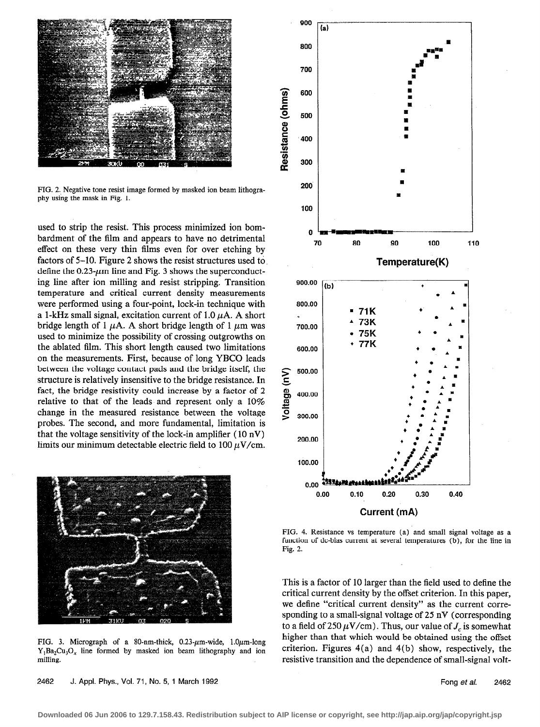

FIG. 2. Negative tone resist image formed by masked ion beam lithography using the mask in Fig. 1.

used to strip the resist. This process minimized ion bombardment of the film and appears to have no detrimental effect on these very thin films even for over etching by factors of 5-10. Figure 2 shows the resist structures used to define the  $0.23$ - $\mu$ m line and Fig. 3 shows the superconducting line after ion milling and resist stripping. Transition temperature and critical current density measurements were performed using a four-point, lock-in technique with a 1-kHz small signal, excitation current of 1.0  $\mu$ A. A short bridge length of 1  $\mu$ A. A short bridge length of 1  $\mu$ m was used to minimize the possibility of crossing outgrowths on the ablated film. This short length caused two limitations on the measurements. First, because of long YBCO leads between the voltage contact pads and the bridge itself, the structure is relatively insensitive to the bridge resistance. In fact, the bridge resistivity could increase by a factor of 2 relative to that of the leads and represent only a 10% change in the measured resistance between the voltage probes. The second, and more fundamental, limitation is that the voltage sensitivity of the lock-in amplifier (10 nV) limits our minimum detectable electric field to  $100 \mu$ V/cm.



FIG. 3. Micrograph of a 80-nm-thick, 0.23- $\mu$ m-wide, 1.0 $\mu$ m-long  $Y_1Ba_2Cu_3O_x$  line formed by masked ion beam lithography and ion milling.

2462 J. Appl. Phys., Vol. 71, No. 5, 1 March 1992 **Fong at al. 2462** Fong et al. 2462



FIG. 4. Resistance vs temperature (a) and small signal voltage as a function of dc-bias current at several temperatures (b), for the line in Fig. 2.

This is a factor of 10 larger than the field used to define the critical current density by the offset criterion. In this paper, we define "critical current density" as the current corresponding to a small-signal voltage of 25 nV (corresponding to a field of 250  $\mu$ V/cm). Thus, our value of  $J_c$  is somewhat higher than that which would be obtained using the offset criterion. Figures 4(a) and 4(b) show, respectively, the resistive transition and the dependence of small-signal volt